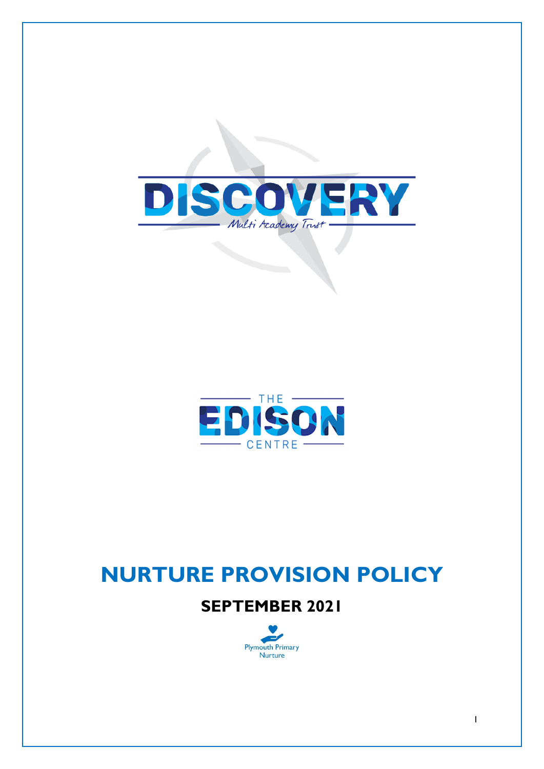



# **NURTURE PROVISION POLICY**

## **SEPTEMBER 2021**

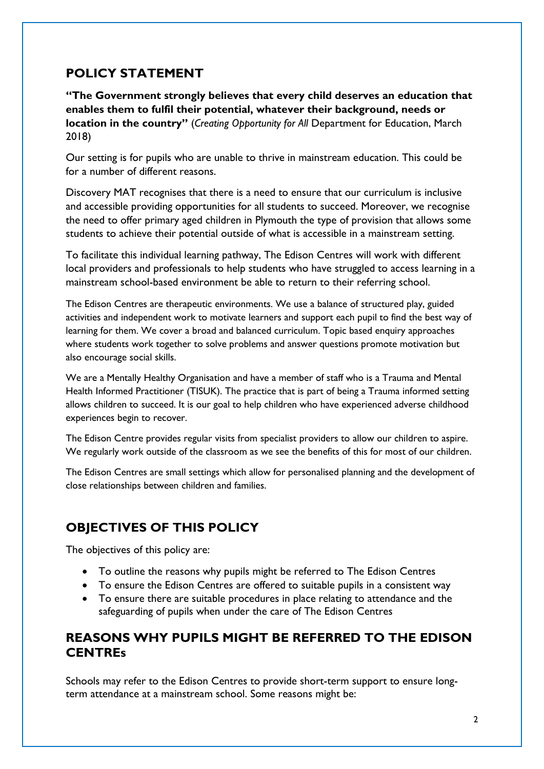## **POLICY STATEMENT**

**"The Government strongly believes that every child deserves an education that enables them to fulfil their potential, whatever their background, needs or location in the country"** (*Creating Opportunity for All* Department for Education, March 2018)

Our setting is for pupils who are unable to thrive in mainstream education. This could be for a number of different reasons.

Discovery MAT recognises that there is a need to ensure that our curriculum is inclusive and accessible providing opportunities for all students to succeed. Moreover, we recognise the need to offer primary aged children in Plymouth the type of provision that allows some students to achieve their potential outside of what is accessible in a mainstream setting.

To facilitate this individual learning pathway, The Edison Centres will work with different local providers and professionals to help students who have struggled to access learning in a mainstream school-based environment be able to return to their referring school.

The Edison Centres are therapeutic environments. We use a balance of structured play, guided activities and independent work to motivate learners and support each pupil to find the best way of learning for them. We cover a broad and balanced curriculum. Topic based enquiry approaches where students work together to solve problems and answer questions promote motivation but also encourage social skills.

We are a Mentally Healthy Organisation and have a member of staff who is a Trauma and Mental Health Informed Practitioner (TISUK). The practice that is part of being a Trauma informed setting allows children to succeed. It is our goal to help children who have experienced adverse childhood experiences begin to recover.

The Edison Centre provides regular visits from specialist providers to allow our children to aspire. We regularly work outside of the classroom as we see the benefits of this for most of our children.

The Edison Centres are small settings which allow for personalised planning and the development of close relationships between children and families.

## **OBJECTIVES OF THIS POLICY**

The objectives of this policy are:

- To outline the reasons why pupils might be referred to The Edison Centres
- To ensure the Edison Centres are offered to suitable pupils in a consistent way
- To ensure there are suitable procedures in place relating to attendance and the safeguarding of pupils when under the care of The Edison Centres

## **REASONS WHY PUPILS MIGHT BE REFERRED TO THE EDISON CENTREs**

Schools may refer to the Edison Centres to provide short-term support to ensure longterm attendance at a mainstream school. Some reasons might be: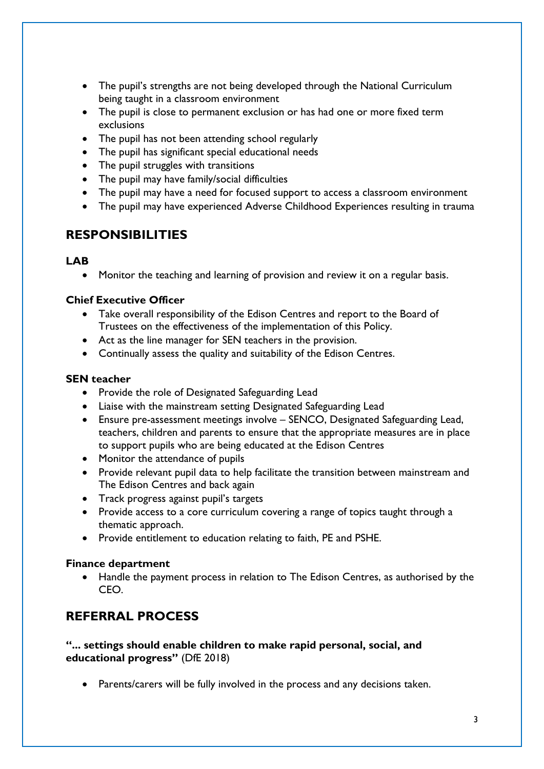- The pupil's strengths are not being developed through the National Curriculum being taught in a classroom environment
- The pupil is close to permanent exclusion or has had one or more fixed term exclusions
- The pupil has not been attending school regularly
- The pupil has significant special educational needs
- The pupil struggles with transitions
- The pupil may have family/social difficulties
- The pupil may have a need for focused support to access a classroom environment
- The pupil may have experienced Adverse Childhood Experiences resulting in trauma

## **RESPONSIBILITIES**

#### **LAB**

• Monitor the teaching and learning of provision and review it on a regular basis.

#### **Chief Executive Officer**

- Take overall responsibility of the Edison Centres and report to the Board of Trustees on the effectiveness of the implementation of this Policy.
- Act as the line manager for SEN teachers in the provision.
- Continually assess the quality and suitability of the Edison Centres.

#### **SEN teacher**

- Provide the role of Designated Safeguarding Lead
- Liaise with the mainstream setting Designated Safeguarding Lead
- Ensure pre-assessment meetings involve SENCO, Designated Safeguarding Lead, teachers, children and parents to ensure that the appropriate measures are in place to support pupils who are being educated at the Edison Centres
- Monitor the attendance of pupils
- Provide relevant pupil data to help facilitate the transition between mainstream and The Edison Centres and back again
- Track progress against pupil's targets
- Provide access to a core curriculum covering a range of topics taught through a thematic approach.
- Provide entitlement to education relating to faith, PE and PSHE.

#### **Finance department**

• Handle the payment process in relation to The Edison Centres, as authorised by the CEO.

## **REFERRAL PROCESS**

**"... settings should enable children to make rapid personal, social, and educational progress"** (DfE 2018)

• Parents/carers will be fully involved in the process and any decisions taken.